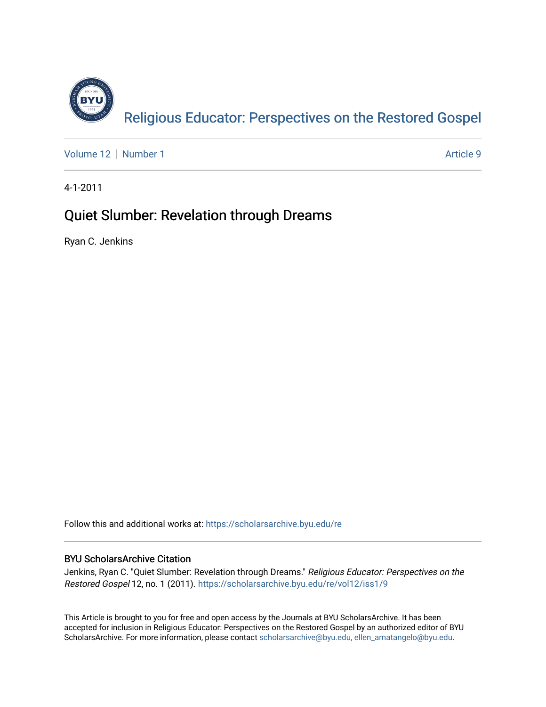

[Volume 12](https://scholarsarchive.byu.edu/re/vol12) [Number 1](https://scholarsarchive.byu.edu/re/vol12/iss1) Article 9

4-1-2011

# Quiet Slumber: Revelation through Dreams

Ryan C. Jenkins

Follow this and additional works at: [https://scholarsarchive.byu.edu/re](https://scholarsarchive.byu.edu/re?utm_source=scholarsarchive.byu.edu%2Fre%2Fvol12%2Fiss1%2F9&utm_medium=PDF&utm_campaign=PDFCoverPages)

## BYU ScholarsArchive Citation

Jenkins, Ryan C. "Quiet Slumber: Revelation through Dreams." Religious Educator: Perspectives on the Restored Gospel 12, no. 1 (2011). [https://scholarsarchive.byu.edu/re/vol12/iss1/9](https://scholarsarchive.byu.edu/re/vol12/iss1/9?utm_source=scholarsarchive.byu.edu%2Fre%2Fvol12%2Fiss1%2F9&utm_medium=PDF&utm_campaign=PDFCoverPages)

This Article is brought to you for free and open access by the Journals at BYU ScholarsArchive. It has been accepted for inclusion in Religious Educator: Perspectives on the Restored Gospel by an authorized editor of BYU ScholarsArchive. For more information, please contact [scholarsarchive@byu.edu, ellen\\_amatangelo@byu.edu.](mailto:scholarsarchive@byu.edu,%20ellen_amatangelo@byu.edu)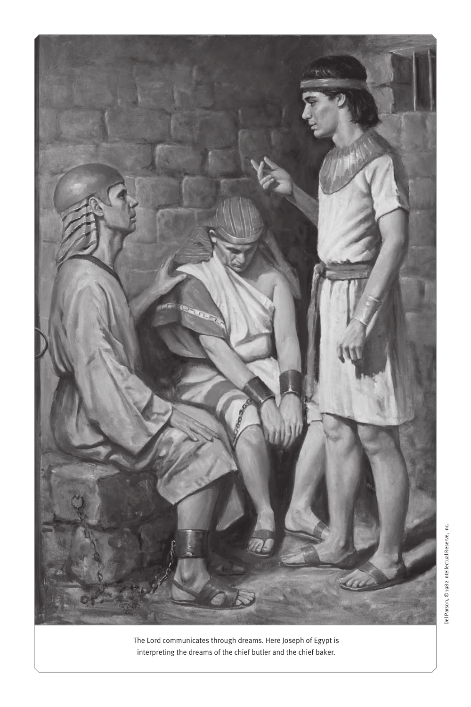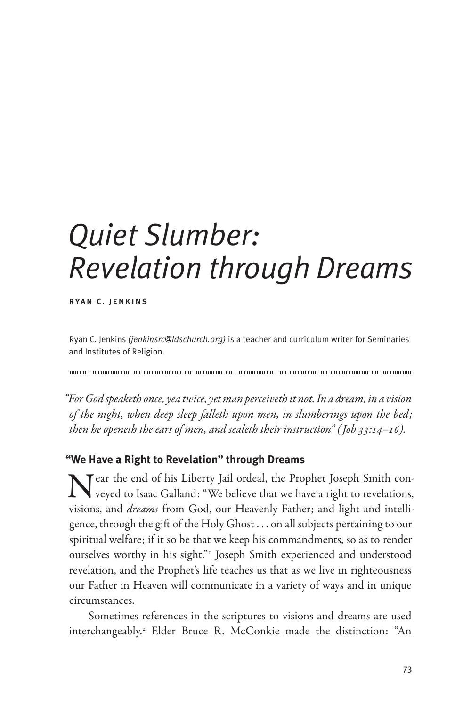# *Quiet Slumber: Revelation through Dreams*

ryan c. jenkins

Ryan C. Jenkins *(jenkinsrc@ldschurch.org)* is a teacher and curriculum writer for Seminaries and Institutes of Religion.

*"For God speaketh once, yea twice, yet man perceiveth it not. In a dream, in a vision of the night, when deep sleep falleth upon men, in slumberings upon the bed; then he openeth the ears of men, and sealeth their instruction" (Job 33:14–16).*

### **"We Have a Right to Revelation" through Dreams**

Near the end of his Liberty Jail ordeal, the Prophet Joseph Smith con-<br>veyed to Isaac Galland: "We believe that we have a right to revelations, visions, and *dreams* from God, our Heavenly Father; and light and intelligence, through the gift of the Holy Ghost . . . on all subjects pertaining to our spiritual welfare; if it so be that we keep his commandments, so as to render ourselves worthy in his sight."<sup>1</sup> Joseph Smith experienced and understood revelation, and the Prophet's life teaches us that as we live in righteousness our Father in Heaven will communicate in a variety of ways and in unique circumstances.

Sometimes references in the scriptures to visions and dreams are used interchangeably.2 Elder Bruce R. McConkie made the distinction: "An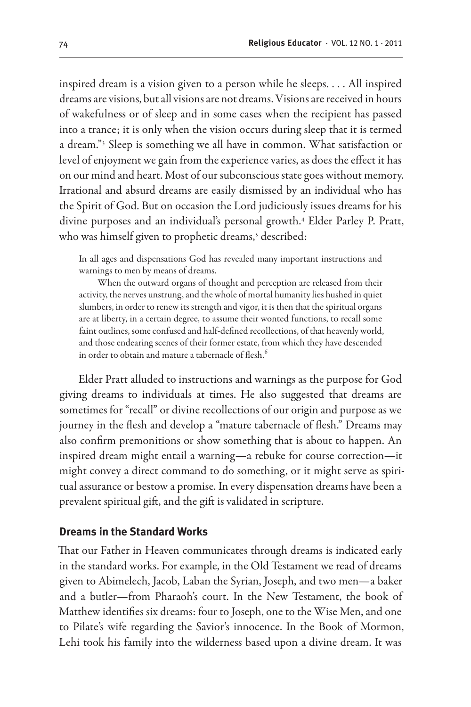inspired dream is a vision given to a person while he sleeps. . . . All inspired dreams are visions, but all visions are not dreams. Visions are received in hours of wakefulness or of sleep and in some cases when the recipient has passed into a trance; it is only when the vision occurs during sleep that it is termed a dream."3 Sleep is something we all have in common. What satisfaction or level of enjoyment we gain from the experience varies, as does the effect it has on our mind and heart. Most of our subconscious state goes without memory. Irrational and absurd dreams are easily dismissed by an individual who has the Spirit of God. But on occasion the Lord judiciously issues dreams for his divine purposes and an individual's personal growth.4 Elder Parley P. Pratt, who was himself given to prophetic dreams,<sup>5</sup> described:

In all ages and dispensations God has revealed many important instructions and warnings to men by means of dreams.

When the outward organs of thought and perception are released from their activity, the nerves unstrung, and the whole of mortal humanity lies hushed in quiet slumbers, in order to renew its strength and vigor, it is then that the spiritual organs are at liberty, in a certain degree, to assume their wonted functions, to recall some faint outlines, some confused and half-defined recollections, of that heavenly world, and those endearing scenes of their former estate, from which they have descended in order to obtain and mature a tabernacle of flesh.<sup>6</sup>

Elder Pratt alluded to instructions and warnings as the purpose for God giving dreams to individuals at times. He also suggested that dreams are sometimes for "recall" or divine recollections of our origin and purpose as we journey in the flesh and develop a "mature tabernacle of flesh." Dreams may also confirm premonitions or show something that is about to happen. An inspired dream might entail a warning—a rebuke for course correction—it might convey a direct command to do something, or it might serve as spiritual assurance or bestow a promise. In every dispensation dreams have been a prevalent spiritual gift, and the gift is validated in scripture.

#### **Dreams in the Standard Works**

That our Father in Heaven communicates through dreams is indicated early in the standard works. For example, in the Old Testament we read of dreams given to Abimelech, Jacob, Laban the Syrian, Joseph, and two men—a baker and a butler—from Pharaoh's court. In the New Testament, the book of Matthew identifies six dreams: four to Joseph, one to the Wise Men, and one to Pilate's wife regarding the Savior's innocence. In the Book of Mormon, Lehi took his family into the wilderness based upon a divine dream. It was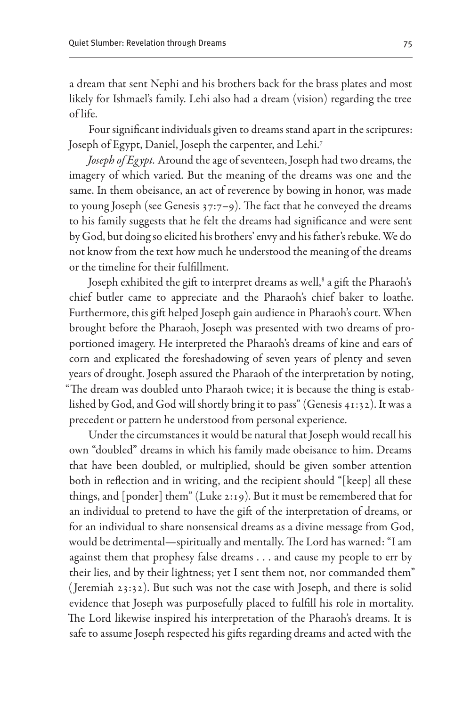a dream that sent Nephi and his brothers back for the brass plates and most likely for Ishmael's family. Lehi also had a dream (vision) regarding the tree of life.

Four significant individuals given to dreams stand apart in the scriptures: Joseph of Egypt, Daniel, Joseph the carpenter, and Lehi.7

*Joseph of Egypt.* Around the age of seventeen, Joseph had two dreams, the imagery of which varied. But the meaning of the dreams was one and the same. In them obeisance, an act of reverence by bowing in honor, was made to young Joseph (see Genesis 37:7–9). The fact that he conveyed the dreams to his family suggests that he felt the dreams had significance and were sent by God, but doing so elicited his brothers' envy and his father's rebuke. We do not know from the text how much he understood the meaning of the dreams or the timeline for their fulfillment.

Joseph exhibited the gift to interpret dreams as well,<sup>8</sup> a gift the Pharaoh's chief butler came to appreciate and the Pharaoh's chief baker to loathe. Furthermore, this gift helped Joseph gain audience in Pharaoh's court. When brought before the Pharaoh, Joseph was presented with two dreams of proportioned imagery. He interpreted the Pharaoh's dreams of kine and ears of corn and explicated the foreshadowing of seven years of plenty and seven years of drought. Joseph assured the Pharaoh of the interpretation by noting, "The dream was doubled unto Pharaoh twice; it is because the thing is established by God, and God will shortly bring it to pass" (Genesis 41:32). It was a precedent or pattern he understood from personal experience.

Under the circumstances it would be natural that Joseph would recall his own "doubled" dreams in which his family made obeisance to him. Dreams that have been doubled, or multiplied, should be given somber attention both in reflection and in writing, and the recipient should "[keep] all these things, and [ponder] them" (Luke 2:19). But it must be remembered that for an individual to pretend to have the gift of the interpretation of dreams, or for an individual to share nonsensical dreams as a divine message from God, would be detrimental—spiritually and mentally. The Lord has warned: "I am against them that prophesy false dreams . . . and cause my people to err by their lies, and by their lightness; yet I sent them not, nor commanded them" ( Jeremiah 23:32). But such was not the case with Joseph, and there is solid evidence that Joseph was purposefully placed to fulfill his role in mortality. The Lord likewise inspired his interpretation of the Pharaoh's dreams. It is safe to assume Joseph respected his gifts regarding dreams and acted with the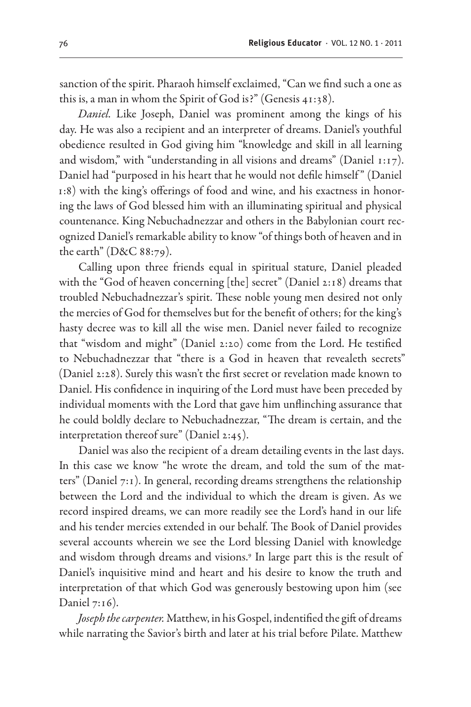sanction of the spirit. Pharaoh himself exclaimed, "Can we find such a one as this is, a man in whom the Spirit of God is?" (Genesis 41:38).

*Daniel.* Like Joseph, Daniel was prominent among the kings of his day. He was also a recipient and an interpreter of dreams. Daniel's youthful obedience resulted in God giving him "knowledge and skill in all learning and wisdom," with "understanding in all visions and dreams" (Daniel 1:17). Daniel had "purposed in his heart that he would not defile himself " (Daniel 1:8) with the king's offerings of food and wine, and his exactness in honoring the laws of God blessed him with an illuminating spiritual and physical countenance. King Nebuchadnezzar and others in the Babylonian court recognized Daniel's remarkable ability to know "of things both of heaven and in the earth" (D&C 88:79).

Calling upon three friends equal in spiritual stature, Daniel pleaded with the "God of heaven concerning [the] secret" (Daniel 2:18) dreams that troubled Nebuchadnezzar's spirit. These noble young men desired not only the mercies of God for themselves but for the benefit of others; for the king's hasty decree was to kill all the wise men. Daniel never failed to recognize that "wisdom and might" (Daniel 2:20) come from the Lord. He testified to Nebuchadnezzar that "there is a God in heaven that revealeth secrets" (Daniel 2:28). Surely this wasn't the first secret or revelation made known to Daniel. His confidence in inquiring of the Lord must have been preceded by individual moments with the Lord that gave him unflinching assurance that he could boldly declare to Nebuchadnezzar, "The dream is certain, and the interpretation thereof sure" (Daniel 2:45).

Daniel was also the recipient of a dream detailing events in the last days. In this case we know "he wrote the dream, and told the sum of the matters" (Daniel 7:1). In general, recording dreams strengthens the relationship between the Lord and the individual to which the dream is given. As we record inspired dreams, we can more readily see the Lord's hand in our life and his tender mercies extended in our behalf. The Book of Daniel provides several accounts wherein we see the Lord blessing Daniel with knowledge and wisdom through dreams and visions.9 In large part this is the result of Daniel's inquisitive mind and heart and his desire to know the truth and interpretation of that which God was generously bestowing upon him (see Daniel 7:16).

*Joseph the carpenter.* Matthew, in his Gospel, indentified the gift of dreams while narrating the Savior's birth and later at his trial before Pilate. Matthew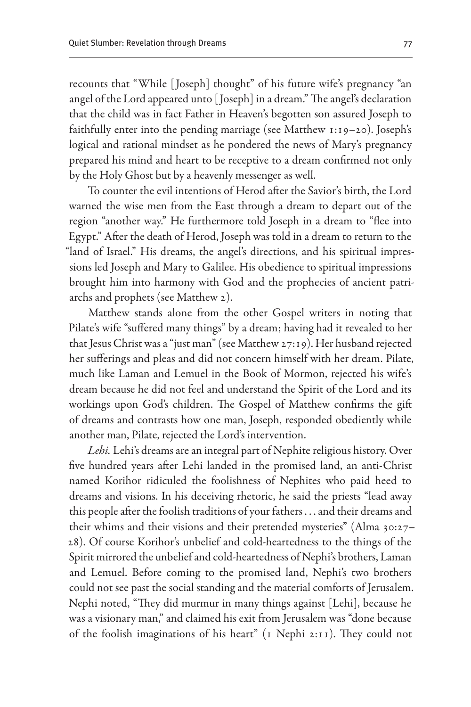recounts that "While [ Joseph] thought" of his future wife's pregnancy "an angel of the Lord appeared unto [ Joseph] in a dream." The angel's declaration that the child was in fact Father in Heaven's begotten son assured Joseph to faithfully enter into the pending marriage (see Matthew 1:19–20). Joseph's logical and rational mindset as he pondered the news of Mary's pregnancy prepared his mind and heart to be receptive to a dream confirmed not only by the Holy Ghost but by a heavenly messenger as well.

To counter the evil intentions of Herod after the Savior's birth, the Lord warned the wise men from the East through a dream to depart out of the region "another way." He furthermore told Joseph in a dream to "flee into Egypt." After the death of Herod, Joseph was told in a dream to return to the "land of Israel." His dreams, the angel's directions, and his spiritual impressions led Joseph and Mary to Galilee. His obedience to spiritual impressions brought him into harmony with God and the prophecies of ancient patriarchs and prophets (see Matthew 2).

Matthew stands alone from the other Gospel writers in noting that Pilate's wife "suffered many things" by a dream; having had it revealed to her that Jesus Christ was a "just man" (see Matthew 27:19). Her husband rejected her sufferings and pleas and did not concern himself with her dream. Pilate, much like Laman and Lemuel in the Book of Mormon, rejected his wife's dream because he did not feel and understand the Spirit of the Lord and its workings upon God's children. The Gospel of Matthew confirms the gift of dreams and contrasts how one man, Joseph, responded obediently while another man, Pilate, rejected the Lord's intervention.

*Lehi.* Lehi's dreams are an integral part of Nephite religious history. Over five hundred years after Lehi landed in the promised land, an anti-Christ named Korihor ridiculed the foolishness of Nephites who paid heed to dreams and visions. In his deceiving rhetoric, he said the priests "lead away this people after the foolish traditions of your fathers . . . and their dreams and their whims and their visions and their pretended mysteries" (Alma 30:27– 28). Of course Korihor's unbelief and cold-heartedness to the things of the Spirit mirrored the unbelief and cold-heartedness of Nephi's brothers, Laman and Lemuel. Before coming to the promised land, Nephi's two brothers could not see past the social standing and the material comforts of Jerusalem. Nephi noted, "They did murmur in many things against [Lehi], because he was a visionary man," and claimed his exit from Jerusalem was "done because of the foolish imaginations of his heart" (1 Nephi 2:11). They could not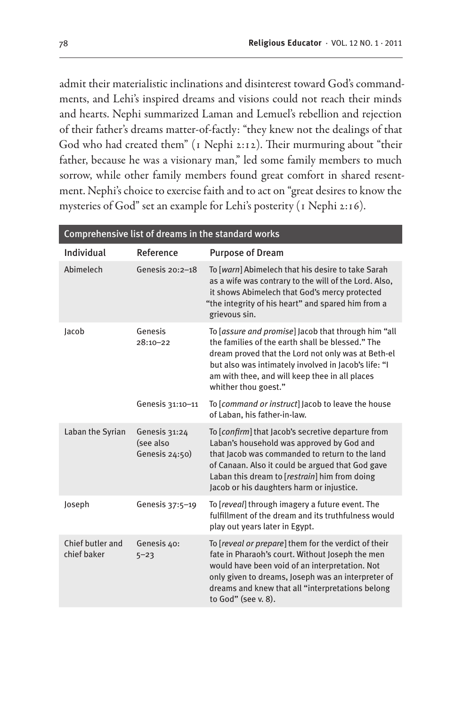admit their materialistic inclinations and disinterest toward God's commandments, and Lehi's inspired dreams and visions could not reach their minds and hearts. Nephi summarized Laman and Lemuel's rebellion and rejection of their father's dreams matter-of-factly: "they knew not the dealings of that God who had created them" (1 Nephi 2:12). Their murmuring about "their father, because he was a visionary man," led some family members to much sorrow, while other family members found great comfort in shared resentment. Nephi's choice to exercise faith and to act on "great desires to know the mysteries of God" set an example for Lehi's posterity (1 Nephi 2:16).

| Comprehensive list of dreams in the standard works |                                              |                                                                                                                                                                                                                                                                                                        |  |
|----------------------------------------------------|----------------------------------------------|--------------------------------------------------------------------------------------------------------------------------------------------------------------------------------------------------------------------------------------------------------------------------------------------------------|--|
| Individual                                         | Reference                                    | <b>Purpose of Dream</b>                                                                                                                                                                                                                                                                                |  |
| Abimelech                                          | Genesis 20:2-18                              | To [warn] Abimelech that his desire to take Sarah<br>as a wife was contrary to the will of the Lord. Also,<br>it shows Abimelech that God's mercy protected<br>"the integrity of his heart" and spared him from a<br>grievous sin.                                                                     |  |
| Jacob                                              | Genesis<br>$28:10 - 22$                      | To <i>assure and promise</i> ] Jacob that through him "all<br>the families of the earth shall be blessed." The<br>dream proved that the Lord not only was at Beth-el<br>but also was intimately involved in Jacob's life: "I<br>am with thee, and will keep thee in all places<br>whither thou goest." |  |
|                                                    | Genesis 31:10-11                             | To <i>command or instruct</i> ] Jacob to leave the house<br>of Laban, his father-in-law.                                                                                                                                                                                                               |  |
| Laban the Syrian                                   | Genesis 31:24<br>(see also<br>Genesis 24:50) | To [confirm] that Jacob's secretive departure from<br>Laban's household was approved by God and<br>that Jacob was commanded to return to the land<br>of Canaan. Also it could be argued that God gave<br>Laban this dream to [restrain] him from doing<br>Jacob or his daughters harm or injustice.    |  |
| Joseph                                             | Genesis 37:5-19                              | To [reveal] through imagery a future event. The<br>fulfillment of the dream and its truthfulness would<br>play out years later in Egypt.                                                                                                                                                               |  |
| Chief butler and<br>chief baker                    | Genesis 40:<br>$5 - 23$                      | To [reveal or prepare] them for the verdict of their<br>fate in Pharaoh's court. Without Joseph the men<br>would have been void of an interpretation. Not<br>only given to dreams, Joseph was an interpreter of<br>dreams and knew that all "interpretations belong<br>to God" (see v. 8).             |  |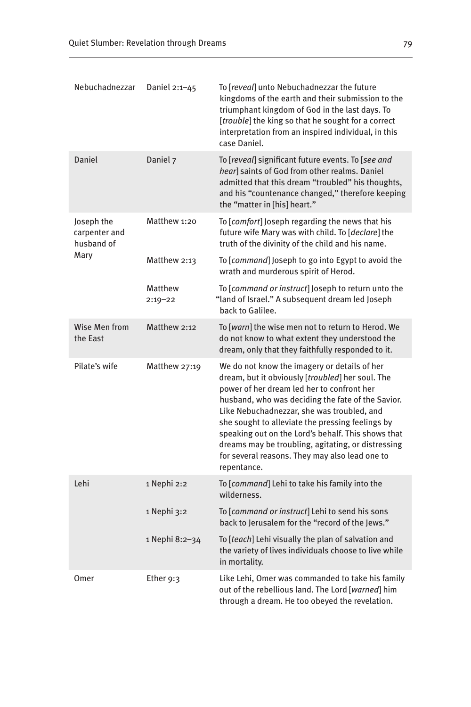| Nebuchadnezzar                                    | Daniel 2:1-45          | To [ <i>reveal</i> ] unto Nebuchadnezzar the future<br>kingdoms of the earth and their submission to the<br>triumphant kingdom of God in the last days. To<br>[trouble] the king so that he sought for a correct<br>interpretation from an inspired individual, in this<br>case Daniel.                                                                                                                                                                                            |
|---------------------------------------------------|------------------------|------------------------------------------------------------------------------------------------------------------------------------------------------------------------------------------------------------------------------------------------------------------------------------------------------------------------------------------------------------------------------------------------------------------------------------------------------------------------------------|
| Daniel                                            | Daniel 7               | To [reveal] significant future events. To [see and<br>hear] saints of God from other realms. Daniel<br>admitted that this dream "troubled" his thoughts,<br>and his "countenance changed," therefore keeping<br>the "matter in [his] heart."                                                                                                                                                                                                                                       |
| Joseph the<br>carpenter and<br>husband of<br>Mary | Matthew 1:20           | To [ <i>comfort</i> ] Joseph regarding the news that his<br>future wife Mary was with child. To [declare] the<br>truth of the divinity of the child and his name.                                                                                                                                                                                                                                                                                                                  |
|                                                   | Matthew 2:13           | To [ <i>command</i> ] Joseph to go into Egypt to avoid the<br>wrath and murderous spirit of Herod.                                                                                                                                                                                                                                                                                                                                                                                 |
|                                                   | Matthew<br>$2:19 - 22$ | To [ <i>command or instruct</i> ] Joseph to return unto the<br>"land of Israel." A subsequent dream led Joseph<br>back to Galilee.                                                                                                                                                                                                                                                                                                                                                 |
| Wise Men from<br>the East                         | Matthew 2:12           | To [ <i>warn</i> ] the wise men not to return to Herod. We<br>do not know to what extent they understood the<br>dream, only that they faithfully responded to it.                                                                                                                                                                                                                                                                                                                  |
| Pilate's wife                                     | Matthew 27:19          | We do not know the imagery or details of her<br>dream, but it obviously [troubled] her soul. The<br>power of her dream led her to confront her<br>husband, who was deciding the fate of the Savior.<br>Like Nebuchadnezzar, she was troubled, and<br>she sought to alleviate the pressing feelings by<br>speaking out on the Lord's behalf. This shows that<br>dreams may be troubling, agitating, or distressing<br>for several reasons. They may also lead one to<br>repentance. |
| Lehi                                              | 1 Nephi 2:2            | To [ <i>command</i> ] Lehi to take his family into the<br>wilderness.                                                                                                                                                                                                                                                                                                                                                                                                              |
|                                                   | 1 Nephi 3:2            | To [ <i>command or instruct</i> ] Lehi to send his sons<br>back to Jerusalem for the "record of the Jews."                                                                                                                                                                                                                                                                                                                                                                         |
|                                                   | 1 Nephi 8:2–34         | To [teach] Lehi visually the plan of salvation and<br>the variety of lives individuals choose to live while<br>in mortality.                                                                                                                                                                                                                                                                                                                                                       |
| Omer                                              | Ether 9:3              | Like Lehi, Omer was commanded to take his family<br>out of the rebellious land. The Lord [warned] him<br>through a dream. He too obeyed the revelation.                                                                                                                                                                                                                                                                                                                            |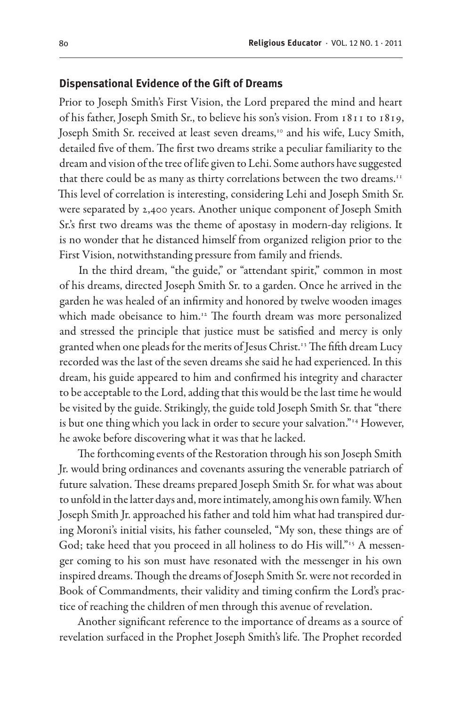#### **Dispensational Evidence of the Gift of Dreams**

Prior to Joseph Smith's First Vision, the Lord prepared the mind and heart of his father, Joseph Smith Sr., to believe his son's vision. From 1811 to 1819, Joseph Smith Sr. received at least seven dreams,<sup>10</sup> and his wife, Lucy Smith, detailed five of them. The first two dreams strike a peculiar familiarity to the dream and vision of the tree of life given to Lehi. Some authors have suggested that there could be as many as thirty correlations between the two dreams.<sup>11</sup> This level of correlation is interesting, considering Lehi and Joseph Smith Sr. were separated by 2,400 years. Another unique component of Joseph Smith Sr.'s first two dreams was the theme of apostasy in modern-day religions. It is no wonder that he distanced himself from organized religion prior to the First Vision, notwithstanding pressure from family and friends.

In the third dream, "the guide," or "attendant spirit," common in most of his dreams, directed Joseph Smith Sr. to a garden. Once he arrived in the garden he was healed of an infirmity and honored by twelve wooden images which made obeisance to him.<sup>12</sup> The fourth dream was more personalized and stressed the principle that justice must be satisfied and mercy is only granted when one pleads for the merits of Jesus Christ.13 The fifth dream Lucy recorded was the last of the seven dreams she said he had experienced. In this dream, his guide appeared to him and confirmed his integrity and character to be acceptable to the Lord, adding that this would be the last time he would be visited by the guide. Strikingly, the guide told Joseph Smith Sr. that "there is but one thing which you lack in order to secure your salvation."<sup>14</sup> However, he awoke before discovering what it was that he lacked.

The forthcoming events of the Restoration through his son Joseph Smith Jr. would bring ordinances and covenants assuring the venerable patriarch of future salvation. These dreams prepared Joseph Smith Sr. for what was about to unfold in the latter days and, more intimately, among his own family. When Joseph Smith Jr. approached his father and told him what had transpired during Moroni's initial visits, his father counseled, "My son, these things are of God; take heed that you proceed in all holiness to do His will."<sup>15</sup> A messenger coming to his son must have resonated with the messenger in his own inspired dreams. Though the dreams of Joseph Smith Sr. were not recorded in Book of Commandments, their validity and timing confirm the Lord's practice of reaching the children of men through this avenue of revelation.

Another significant reference to the importance of dreams as a source of revelation surfaced in the Prophet Joseph Smith's life. The Prophet recorded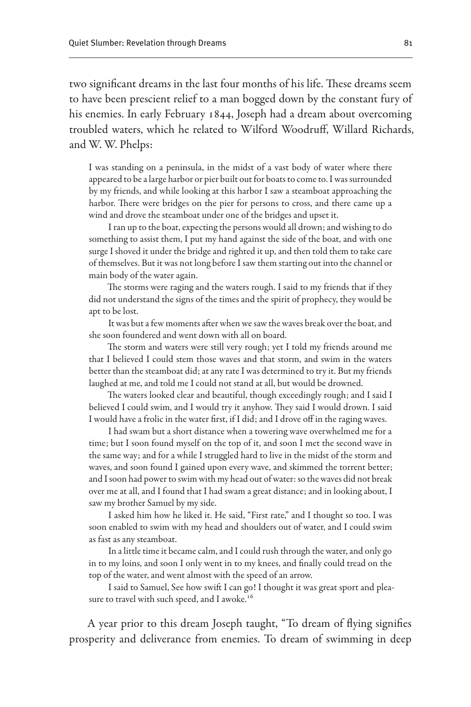two significant dreams in the last four months of his life. These dreams seem to have been prescient relief to a man bogged down by the constant fury of his enemies. In early February 1844, Joseph had a dream about overcoming troubled waters, which he related to Wilford Woodruff, Willard Richards, and W. W. Phelps:

I was standing on a peninsula, in the midst of a vast body of water where there appeared to be a large harbor or pier built out for boats to come to. I was surrounded by my friends, and while looking at this harbor I saw a steamboat approaching the harbor. There were bridges on the pier for persons to cross, and there came up a wind and drove the steamboat under one of the bridges and upset it.

I ran up to the boat, expecting the persons would all drown; and wishing to do something to assist them, I put my hand against the side of the boat, and with one surge I shoved it under the bridge and righted it up, and then told them to take care of themselves. But it was not long before I saw them starting out into the channel or main body of the water again.

The storms were raging and the waters rough. I said to my friends that if they did not understand the signs of the times and the spirit of prophecy, they would be apt to be lost.

It was but a few moments after when we saw the waves break over the boat, and she soon foundered and went down with all on board.

The storm and waters were still very rough; yet I told my friends around me that I believed I could stem those waves and that storm, and swim in the waters better than the steamboat did; at any rate I was determined to try it. But my friends laughed at me, and told me I could not stand at all, but would be drowned.

The waters looked clear and beautiful, though exceedingly rough; and I said I believed I could swim, and I would try it anyhow. They said I would drown. I said I would have a frolic in the water first, if I did; and I drove off in the raging waves.

I had swam but a short distance when a towering wave overwhelmed me for a time; but I soon found myself on the top of it, and soon I met the second wave in the same way; and for a while I struggled hard to live in the midst of the storm and waves, and soon found I gained upon every wave, and skimmed the torrent better; and I soon had power to swim with my head out of water: so the waves did not break over me at all, and I found that I had swam a great distance; and in looking about, I saw my brother Samuel by my side.

I asked him how he liked it. He said, "First rate," and I thought so too. I was soon enabled to swim with my head and shoulders out of water, and I could swim as fast as any steamboat.

In a little time it became calm, and I could rush through the water, and only go in to my loins, and soon I only went in to my knees, and finally could tread on the top of the water, and went almost with the speed of an arrow.

I said to Samuel, See how swift I can go! I thought it was great sport and pleasure to travel with such speed, and I awoke.<sup>16</sup>

A year prior to this dream Joseph taught, "To dream of flying signifies prosperity and deliverance from enemies. To dream of swimming in deep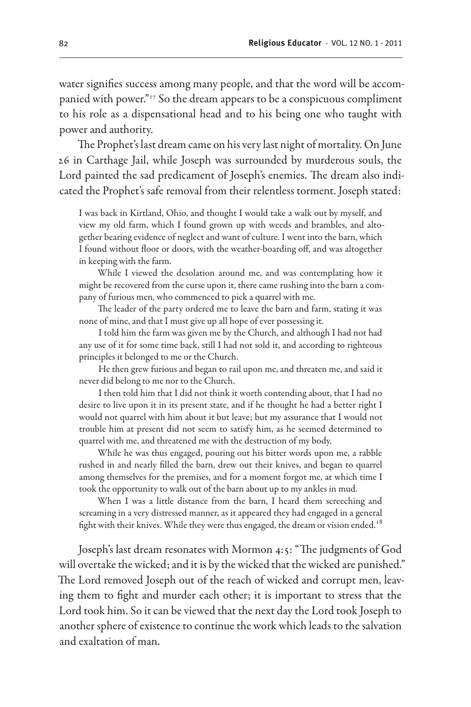water signifies success among many people, and that the word will be accompanied with power."17 So the dream appears to be a conspicuous compliment to his role as a dispensational head and to his being one who taught with power and authority.

The Prophet's last dream came on his very last night of mortality. On June 26 in Carthage Jail, while Joseph was surrounded by murderous souls, the Lord painted the sad predicament of Joseph's enemies. The dream also indicated the Prophet's safe removal from their relentless torment. Joseph stated:

I was back in Kirtland, Ohio, and thought I would take a walk out by myself, and view my old farm, which I found grown up with weeds and brambles, and altogether bearing evidence of neglect and want of culture. I went into the barn, which I found without floor or doors, with the weather-boarding off, and was altogether in keeping with the farm.

While I viewed the desolation around me, and was contemplating how it might be recovered from the curse upon it, there came rushing into the barn a company of furious men, who commenced to pick a quarrel with me.

The leader of the party ordered me to leave the barn and farm, stating it was none of mine, and that I must give up all hope of ever possessing it.

I told him the farm was given me by the Church, and although I had not had any use of it for some time back, still I had not sold it, and according to righteous principles it belonged to me or the Church.

He then grew furious and began to rail upon me, and threaten me, and said it never did belong to me nor to the Church.

I then told him that I did not think it worth contending about, that I had no desire to live upon it in its present state, and if he thought he had a better right I would not quarrel with him about it but leave; but my assurance that I would not trouble him at present did not seem to satisfy him, as he seemed determined to quarrel with me, and threatened me with the destruction of my body.

While he was thus engaged, pouring out his bitter words upon me, a rabble rushed in and nearly filled the barn, drew out their knives, and began to quarrel among themselves for the premises, and for a moment forgot me, at which time I took the opportunity to walk out of the barn about up to my ankles in mud.

When I was a little distance from the barn, I heard them screeching and screaming in a very distressed manner, as it appeared they had engaged in a general fight with their knives. While they were thus engaged, the dream or vision ended. $^{18}$ 

Joseph's last dream resonates with Mormon 4:5: "The judgments of God will overtake the wicked; and it is by the wicked that the wicked are punished." The Lord removed Joseph out of the reach of wicked and corrupt men, leaving them to fight and murder each other; it is important to stress that the Lord took him. So it can be viewed that the next day the Lord took Joseph to another sphere of existence to continue the work which leads to the salvation and exaltation of man.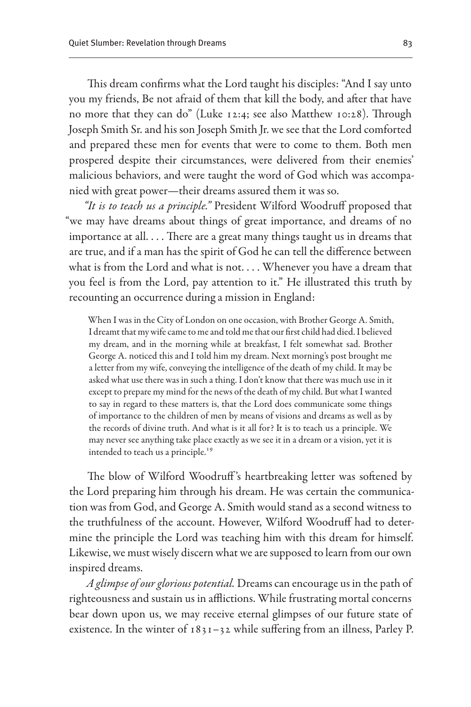This dream confirms what the Lord taught his disciples: "And I say unto you my friends, Be not afraid of them that kill the body, and after that have no more that they can do" (Luke 12:4; see also Matthew 10:28). Through Joseph Smith Sr. and his son Joseph Smith Jr. we see that the Lord comforted and prepared these men for events that were to come to them. Both men prospered despite their circumstances, were delivered from their enemies' malicious behaviors, and were taught the word of God which was accompanied with great power—their dreams assured them it was so.

*"It is to teach us a principle."* President Wilford Woodruff proposed that "we may have dreams about things of great importance, and dreams of no importance at all. . . . There are a great many things taught us in dreams that are true, and if a man has the spirit of God he can tell the difference between what is from the Lord and what is not. . . . Whenever you have a dream that you feel is from the Lord, pay attention to it." He illustrated this truth by recounting an occurrence during a mission in England:

When I was in the City of London on one occasion, with Brother George A. Smith, I dreamt that my wife came to me and told me that our first child had died. I believed my dream, and in the morning while at breakfast, I felt somewhat sad. Brother George A. noticed this and I told him my dream. Next morning's post brought me a letter from my wife, conveying the intelligence of the death of my child. It may be asked what use there was in such a thing. I don't know that there was much use in it except to prepare my mind for the news of the death of my child. But what I wanted to say in regard to these matters is, that the Lord does communicate some things of importance to the children of men by means of visions and dreams as well as by the records of divine truth. And what is it all for? It is to teach us a principle. We may never see anything take place exactly as we see it in a dream or a vision, yet it is intended to teach us a principle.<sup>19</sup>

The blow of Wilford Woodruff's heartbreaking letter was softened by the Lord preparing him through his dream. He was certain the communication was from God, and George A. Smith would stand as a second witness to the truthfulness of the account. However, Wilford Woodruff had to determine the principle the Lord was teaching him with this dream for himself. Likewise, we must wisely discern what we are supposed to learn from our own inspired dreams.

*A glimpse of our glorious potential.* Dreams can encourage us in the path of righteousness and sustain us in afflictions. While frustrating mortal concerns bear down upon us, we may receive eternal glimpses of our future state of existence. In the winter of  $1831-32$  while suffering from an illness, Parley P.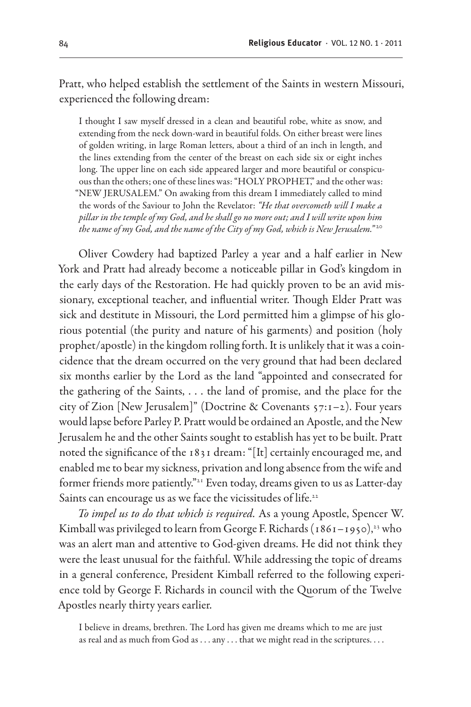Pratt, who helped establish the settlement of the Saints in western Missouri, experienced the following dream:

I thought I saw myself dressed in a clean and beautiful robe, white as snow, and extending from the neck down-ward in beautiful folds. On either breast were lines of golden writing, in large Roman letters, about a third of an inch in length, and the lines extending from the center of the breast on each side six or eight inches long. The upper line on each side appeared larger and more beautiful or conspicuous than the others; one of these lines was: "HOLY PROPHET," and the other was: "NEW JERUSALEM." On awaking from this dream I immediately called to mind the words of the Saviour to John the Revelator: *"He that overcometh will I make a pillar in the temple of my God, and he shall go no more out; and I will write upon him the name of my God, and the name of the City of my God, which is New Jerusalem."* <sup>20</sup>

Oliver Cowdery had baptized Parley a year and a half earlier in New York and Pratt had already become a noticeable pillar in God's kingdom in the early days of the Restoration. He had quickly proven to be an avid missionary, exceptional teacher, and influential writer. Though Elder Pratt was sick and destitute in Missouri, the Lord permitted him a glimpse of his glorious potential (the purity and nature of his garments) and position (holy prophet/apostle) in the kingdom rolling forth. It is unlikely that it was a coincidence that the dream occurred on the very ground that had been declared six months earlier by the Lord as the land "appointed and consecrated for the gathering of the Saints, . . . the land of promise, and the place for the city of Zion [New Jerusalem]" (Doctrine & Covenants 57:1–2). Four years would lapse before Parley P. Pratt would be ordained an Apostle, and the New Jerusalem he and the other Saints sought to establish has yet to be built. Pratt noted the significance of the 1831 dream: "[It] certainly encouraged me, and enabled me to bear my sickness, privation and long absence from the wife and former friends more patiently."<sup>21</sup> Even today, dreams given to us as Latter-day Saints can encourage us as we face the vicissitudes of life.<sup>22</sup>

*To impel us to do that which is required.* As a young Apostle, Spencer W. Kimball was privileged to learn from George F. Richards ( $1861 - 1950$ ),<sup>23</sup> who was an alert man and attentive to God-given dreams. He did not think they were the least unusual for the faithful. While addressing the topic of dreams in a general conference, President Kimball referred to the following experience told by George F. Richards in council with the Quorum of the Twelve Apostles nearly thirty years earlier.

I believe in dreams, brethren. The Lord has given me dreams which to me are just as real and as much from God as . . . any . . . that we might read in the scriptures. . . .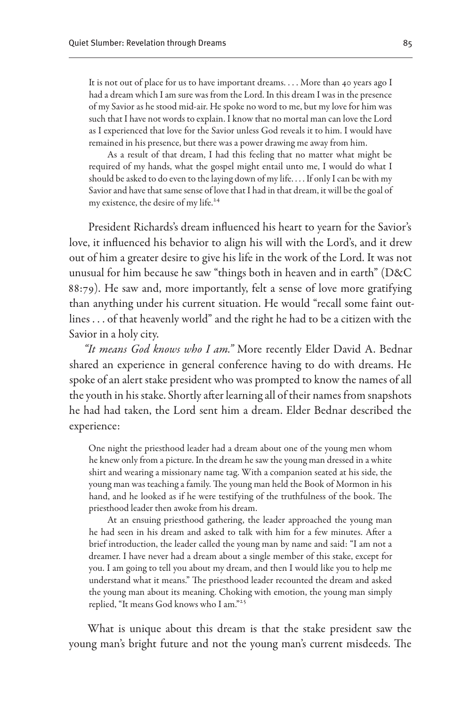It is not out of place for us to have important dreams. . . . More than 40 years ago I had a dream which I am sure was from the Lord. In this dream I was in the presence of my Savior as he stood mid-air. He spoke no word to me, but my love for him was such that I have not words to explain. I know that no mortal man can love the Lord as I experienced that love for the Savior unless God reveals it to him. I would have remained in his presence, but there was a power drawing me away from him.

As a result of that dream, I had this feeling that no matter what might be required of my hands, what the gospel might entail unto me, I would do what I should be asked to do even to the laying down of my life. . . . If only I can be with my Savior and have that same sense of love that I had in that dream, it will be the goal of my existence, the desire of my life.<sup>24</sup>

President Richards's dream influenced his heart to yearn for the Savior's love, it influenced his behavior to align his will with the Lord's, and it drew out of him a greater desire to give his life in the work of the Lord. It was not unusual for him because he saw "things both in heaven and in earth" (D&C 88:79). He saw and, more importantly, felt a sense of love more gratifying than anything under his current situation. He would "recall some faint outlines . . . of that heavenly world" and the right he had to be a citizen with the Savior in a holy city.

*"It means God knows who I am."* More recently Elder David A. Bednar shared an experience in general conference having to do with dreams. He spoke of an alert stake president who was prompted to know the names of all the youth in his stake. Shortly after learning all of their names from snapshots he had had taken, the Lord sent him a dream. Elder Bednar described the experience:

One night the priesthood leader had a dream about one of the young men whom he knew only from a picture. In the dream he saw the young man dressed in a white shirt and wearing a missionary name tag. With a companion seated at his side, the young man was teaching a family. The young man held the Book of Mormon in his hand, and he looked as if he were testifying of the truthfulness of the book. The priesthood leader then awoke from his dream.

At an ensuing priesthood gathering, the leader approached the young man he had seen in his dream and asked to talk with him for a few minutes. After a brief introduction, the leader called the young man by name and said: "I am not a dreamer. I have never had a dream about a single member of this stake, except for you. I am going to tell you about my dream, and then I would like you to help me understand what it means." The priesthood leader recounted the dream and asked the young man about its meaning. Choking with emotion, the young man simply replied, "It means God knows who I am."25

What is unique about this dream is that the stake president saw the young man's bright future and not the young man's current misdeeds. The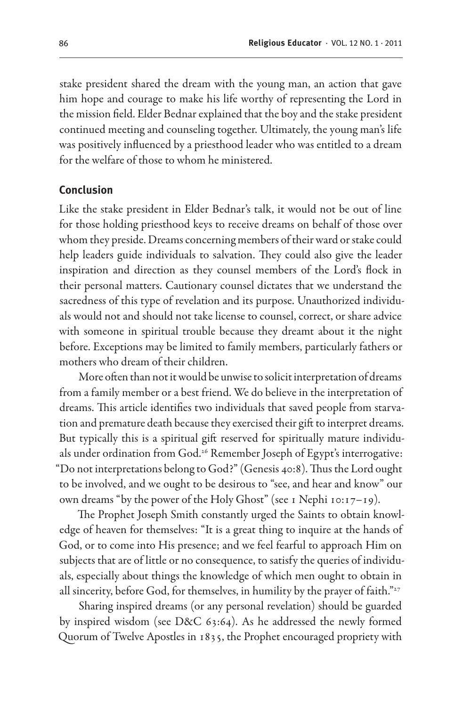stake president shared the dream with the young man, an action that gave him hope and courage to make his life worthy of representing the Lord in the mission field. Elder Bednar explained that the boy and the stake president continued meeting and counseling together. Ultimately, the young man's life was positively influenced by a priesthood leader who was entitled to a dream for the welfare of those to whom he ministered.

#### **Conclusion**

Like the stake president in Elder Bednar's talk, it would not be out of line for those holding priesthood keys to receive dreams on behalf of those over whom they preside. Dreams concerning members of their ward or stake could help leaders guide individuals to salvation. They could also give the leader inspiration and direction as they counsel members of the Lord's flock in their personal matters. Cautionary counsel dictates that we understand the sacredness of this type of revelation and its purpose. Unauthorized individuals would not and should not take license to counsel, correct, or share advice with someone in spiritual trouble because they dreamt about it the night before. Exceptions may be limited to family members, particularly fathers or mothers who dream of their children.

More often than not it would be unwise to solicit interpretation of dreams from a family member or a best friend. We do believe in the interpretation of dreams. This article identifies two individuals that saved people from starvation and premature death because they exercised their gift to interpret dreams. But typically this is a spiritual gift reserved for spiritually mature individuals under ordination from God.<sup>26</sup> Remember Joseph of Egypt's interrogative: "Do not interpretations belong to God?" (Genesis 40:8). Thus the Lord ought to be involved, and we ought to be desirous to "see, and hear and know" our own dreams "by the power of the Holy Ghost" (see 1 Nephi 10:17–19).

The Prophet Joseph Smith constantly urged the Saints to obtain knowledge of heaven for themselves: "It is a great thing to inquire at the hands of God, or to come into His presence; and we feel fearful to approach Him on subjects that are of little or no consequence, to satisfy the queries of individuals, especially about things the knowledge of which men ought to obtain in all sincerity, before God, for themselves, in humility by the prayer of faith."<sup>27</sup>

Sharing inspired dreams (or any personal revelation) should be guarded by inspired wisdom (see D&C 63:64). As he addressed the newly formed Quorum of Twelve Apostles in 1835, the Prophet encouraged propriety with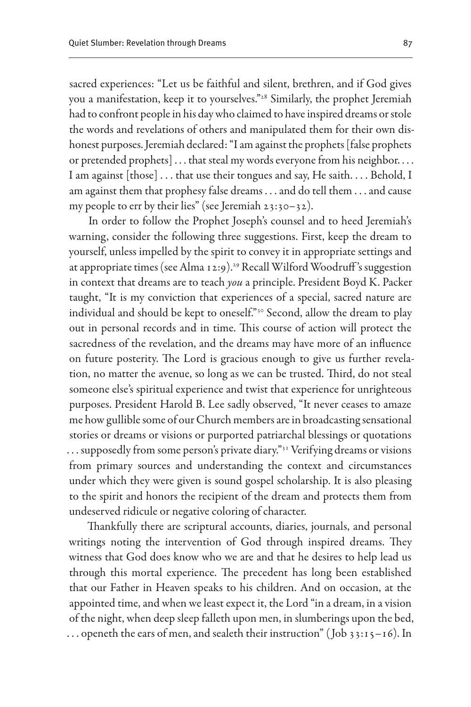sacred experiences: "Let us be faithful and silent, brethren, and if God gives you a manifestation, keep it to yourselves."28 Similarly, the prophet Jeremiah had to confront people in his day who claimed to have inspired dreams or stole the words and revelations of others and manipulated them for their own dishonest purposes. Jeremiah declared: "I am against the prophets [false prophets or pretended prophets]... that steal my words everyone from his neighbor.... I am against [those] . . . that use their tongues and say, He saith. . . . Behold, I am against them that prophesy false dreams . . . and do tell them . . . and cause my people to err by their lies" (see Jeremiah 23:30–32).

In order to follow the Prophet Joseph's counsel and to heed Jeremiah's warning, consider the following three suggestions. First, keep the dream to yourself, unless impelled by the spirit to convey it in appropriate settings and at appropriate times (see Alma 12:9).<sup>29</sup> Recall Wilford Woodruff's suggestion in context that dreams are to teach *you* a principle. President Boyd K. Packer taught, "It is my conviction that experiences of a special, sacred nature are individual and should be kept to oneself."<sup>30</sup> Second, allow the dream to play out in personal records and in time. This course of action will protect the sacredness of the revelation, and the dreams may have more of an influence on future posterity. The Lord is gracious enough to give us further revelation, no matter the avenue, so long as we can be trusted. Third, do not steal someone else's spiritual experience and twist that experience for unrighteous purposes. President Harold B. Lee sadly observed, "It never ceases to amaze me how gullible some of our Church members are in broadcasting sensational stories or dreams or visions or purported patriarchal blessings or quotations ... supposedly from some person's private diary."<sup>31</sup> Verifying dreams or visions from primary sources and understanding the context and circumstances under which they were given is sound gospel scholarship. It is also pleasing to the spirit and honors the recipient of the dream and protects them from undeserved ridicule or negative coloring of character.

Thankfully there are scriptural accounts, diaries, journals, and personal writings noting the intervention of God through inspired dreams. They witness that God does know who we are and that he desires to help lead us through this mortal experience. The precedent has long been established that our Father in Heaven speaks to his children. And on occasion, at the appointed time, and when we least expect it, the Lord "in a dream, in a vision of the night, when deep sleep falleth upon men, in slumberings upon the bed, ... openeth the ears of men, and sealeth their instruction" (Job 33:15–16). In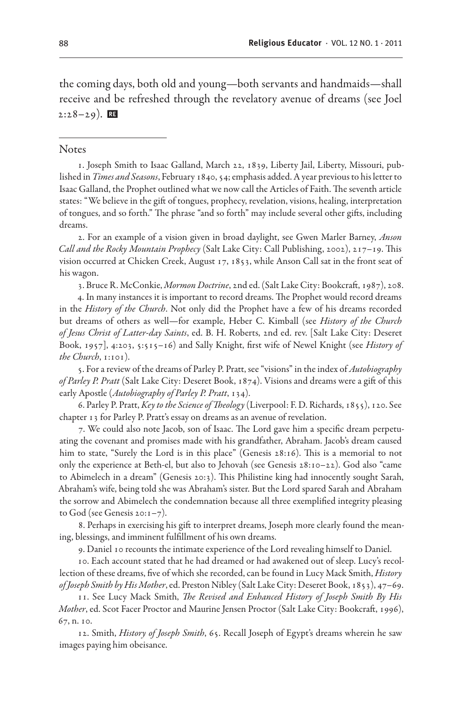the coming days, both old and young—both servants and handmaids—shall receive and be refreshed through the revelatory avenue of dreams (see Joel  $2:28-29$ ).

#### **Notes**

1. Joseph Smith to Isaac Galland, March 22, 1839, Liberty Jail, Liberty, Missouri, published in *Times and Seasons*, February 1840, 54; emphasis added. A year previous to his letter to Isaac Galland, the Prophet outlined what we now call the Articles of Faith. The seventh article states: "We believe in the gift of tongues, prophecy, revelation, visions, healing, interpretation of tongues, and so forth." The phrase "and so forth" may include several other gifts, including dreams.

2. For an example of a vision given in broad daylight, see Gwen Marler Barney, *Anson Call and the Rocky Mountain Prophecy* (Salt Lake City: Call Publishing, 2002), 217–19. This vision occurred at Chicken Creek, August 17, 1853, while Anson Call sat in the front seat of his wagon.

3. Bruce R. McConkie, *Mormon Doctrine*, 2nd ed. (Salt Lake City: Bookcraft, 1987), 208.

4. In many instances it is important to record dreams. The Prophet would record dreams in the *History of the Church*. Not only did the Prophet have a few of his dreams recorded but dreams of others as well—for example, Heber C. Kimball (see *History of the Church of Jesus Christ of Latter-day Saints*, ed. B. H. Roberts, 2nd ed. rev. [Salt Lake City: Deseret Book, 1957], 4:203, 5:515–16) and Sally Knight, first wife of Newel Knight (see *History of the Church*, 1:101).

5. For a review of the dreams of Parley P. Pratt, see "visions" in the index of *Autobiography of Parley P. Pratt* (Salt Lake City: Deseret Book, 1874). Visions and dreams were a gift of this early Apostle (*Autobiography of Parley P. Pratt*, 134).

6. Parley P. Pratt, *Key to the Science of Theology* (Liverpool: F. D. Richards, 1855), 120. See chapter 13 for Parley P. Pratt's essay on dreams as an avenue of revelation.

7. We could also note Jacob, son of Isaac. The Lord gave him a specific dream perpetuating the covenant and promises made with his grandfather, Abraham. Jacob's dream caused him to state, "Surely the Lord is in this place" (Genesis 28:16). This is a memorial to not only the experience at Beth-el, but also to Jehovah (see Genesis 28:10–22). God also "came to Abimelech in a dream" (Genesis 20:3). This Philistine king had innocently sought Sarah, Abraham's wife, being told she was Abraham's sister. But the Lord spared Sarah and Abraham the sorrow and Abimelech the condemnation because all three exemplified integrity pleasing to God (see Genesis 20:1–7).

8. Perhaps in exercising his gift to interpret dreams, Joseph more clearly found the meaning, blessings, and imminent fulfillment of his own dreams.

9. Daniel 10 recounts the intimate experience of the Lord revealing himself to Daniel.

10. Each account stated that he had dreamed or had awakened out of sleep. Lucy's recollection of these dreams, five of which she recorded, can be found in Lucy Mack Smith, *History of Joseph Smith by His Mother*, ed. Preston Nibley (Salt Lake City: Deseret Book, 1853), 47–69.

11. See Lucy Mack Smith, *The Revised and Enhanced History of Joseph Smith By His Mother*, ed. Scot Facer Proctor and Maurine Jensen Proctor (Salt Lake City: Bookcraft, 1996), 67, n. 10.

12. Smith, *History of Joseph Smith*, 65. Recall Joseph of Egypt's dreams wherein he saw images paying him obeisance.